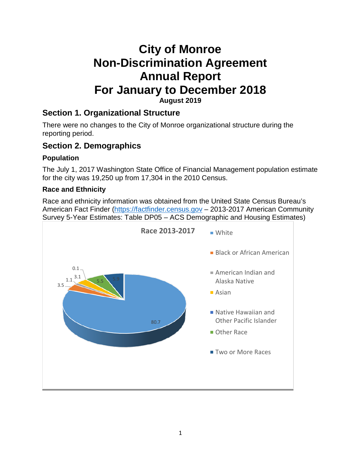# **City of Monroe Non-Discrimination Agreement Annual Report For January to December 2018 August 2019**

### **Section 1. Organizational Structure**

There were no changes to the City of Monroe organizational structure during the reporting period.

### **Section 2. Demographics**

#### **Population**

The July 1, 2017 Washington State Office of Financial Management population estimate for the city was 19,250 up from 17,304 in the 2010 Census.

#### **Race and Ethnicity**

Race and ethnicity information was obtained from the United State Census Bureau's American Fact Finder [\(https://factfinder.census.gov](https://factfinder.census.gov/) – 2013-2017 American Community Survey 5-Year Estimates: Table DP05 – ACS Demographic and Housing Estimates)

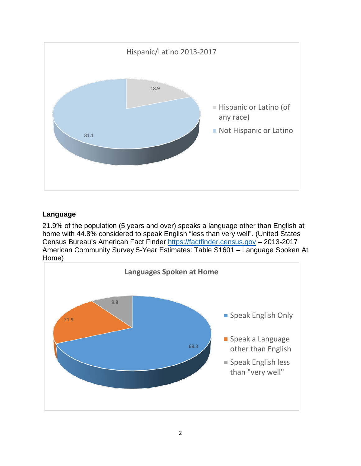

#### **Language**

21.9% of the population (5 years and over) speaks a language other than English at home with 44.8% considered to speak English "less than very well". (United States Census Bureau's American Fact Finder [https://factfinder.census.gov](https://factfinder.census.gov/) – 2013-2017 American Community Survey 5-Year Estimates: Table S1601 – Language Spoken At Home)

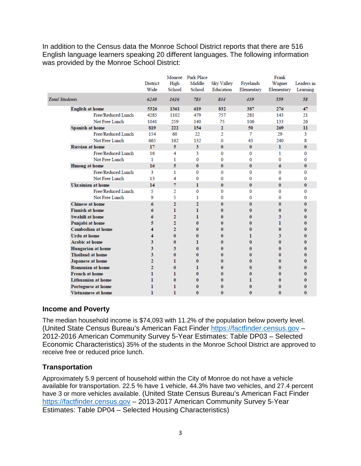In addition to the Census data the Monroe School District reports that there are 516 English language learners speaking 20 different languages. The following information was provided by the Monroe School District:

|                           | Monroe Park Place |                |                |                |              | Frank        |              |  |
|---------------------------|-------------------|----------------|----------------|----------------|--------------|--------------|--------------|--|
|                           | <b>District</b>   | High           | Middle         | Sky Valley     | Fryelands    | Wagner       | Leaders in   |  |
|                           | Wide              | School         | School         | Education      | Elementary   | Elementary   | Learning     |  |
| <b>Total Students</b>     | 6240              | 1616           | 783            | 834            | 439          | 559          | 58           |  |
| <b>English at home</b>    | 5326              | 1361           | 619            | 832            | 387          | 276          | 47           |  |
| Free/Reduced Lunch        | 4285              | 1102           | 479            | 757            | 281          | 143          | 21           |  |
| Not Free Lunch            | 1041              | 259            | 140            | 75             | 106          | 133          | 26           |  |
| Spanish at home           | 819               | 222            | 154            | $\mathbf{2}$   | 50           | 269          | $\mathbf{u}$ |  |
| Free/Reduced Lunch        | 154               | 60             | 22             | $\overline{2}$ | 7            | 29           | 3            |  |
| Not Free Lunch            | 665               | 162            | 132            | 0              | 43           | 240          | 8            |  |
| <b>Russian at home</b>    | 17                | 5              | $\mathbf{3}$   | $\bf{0}$       | $\bf{0}$     | $\mathbf{I}$ | $\bf{0}$     |  |
| Free/Reduced Lunch        | 16                | 4              | 3              | 0              | $\bf{0}$     | 1            | $\bf{0}$     |  |
| Not Free Lunch            | 1                 | 1              | $\bf{0}$       | 0              | $\bf{0}$     | $\bf{0}$     | 0            |  |
| <b>Hmong at home</b>      | 16                | 5              | $\bf{0}$       | $\bf{0}$       | $\bf{0}$     | 6            | $\bf{0}$     |  |
| Free/Reduced Lunch        | 3                 | 1              | $\Omega$       | $\Omega$       | $\Omega$     | $\Omega$     | $\Omega$     |  |
| Not Free Lunch            | 13                | 4              | 0              | 0              | 0            | 6            | 0            |  |
| <b>Ukrainian at home</b>  | 14                | 7              | 1              | $\mathbf{0}$   | $\mathbf{0}$ | $\mathbf{0}$ | $\bf{0}$     |  |
| Free/Reduced Lunch        | 5                 | $\overline{2}$ | 0              | 0              | $\bf{0}$     | 0            | $\bf{0}$     |  |
| Not Free Lunch            | 9                 | 5              | 1              | 0              | $\bf{0}$     | $\Omega$     | 0            |  |
| Chinese at home           | 6                 | $\overline{2}$ | $\overline{2}$ | $\bf{0}$       | $\mathbf{0}$ | $\bf{0}$     | $\bf{0}$     |  |
| <b>Finnish at home</b>    | 6                 | ı              | 1              | 0              | $\bf{0}$     | 0            | 0            |  |
| Swahili at home           | 6                 | $\overline{2}$ | ı              | 0              | 0            | 3            | 0            |  |
| Punjabi at home           | 5                 | $\overline{2}$ | $\mathbf{0}$   | 0              | 0            | L            | 0            |  |
| <b>Cambodian at home</b>  | 4                 | $\overline{2}$ | $\mathbf{0}$   | 0              | 0            | $\bf{0}$     | 0            |  |
| <b>Urdu</b> at home       | 4                 | $\bf{0}$       | $\mathbf{0}$   | $\bf{0}$       | ı            | 3            | $\bf{0}$     |  |
| <b>Arabic at home</b>     | 3                 | $\bf{0}$       | 1              | 0              | $\bf{0}$     | $\bf{0}$     | 0            |  |
| Hungarian at home         | 3                 | 3              | $\mathbf{0}$   | 0              | 0            | 0            | 0            |  |
| <b>Thailand at home</b>   | 3                 | $\bf{0}$       | $\bf{0}$       | 0              | 0            | 0            | 0            |  |
| Japanese at home          | $\overline{2}$    | ı.             | $\bf{0}$       | 0              | 0            | 0            | 0            |  |
| <b>Romanian at home</b>   | $\overline{2}$    | $\bf{0}$       | 1              | 0              | $\bf{0}$     | $\bf{0}$     | $\bf{0}$     |  |
| <b>French at home</b>     | ı                 | ı              | $\mathbf{0}$   | 0              | 0            | 0            | 0            |  |
| <b>Lithuanian at home</b> | ı                 | $\bf{0}$       | $\bf{0}$       | 0              | ı            | $\bf{0}$     | $\bf{0}$     |  |
| Portuguese at home        | 1                 | 1              | $\bf{0}$       | 0              | 0            | 0            | 0            |  |
| <b>Vietnamese at home</b> | ı                 | ı              | $\mathbf{0}$   | $\bf{0}$       | $\bf{0}$     | $\bf{0}$     | $\bf{0}$     |  |

#### **Income and Poverty**

The median household income is \$74,093 with 11.2% of the population below poverty level. (United State Census Bureau's American Fact Finder [https://factfinder.census.gov](https://factfinder.census.gov/) – 2012-2016 American Community Survey 5-Year Estimates: Table DP03 – Selected Economic Characteristics) 35% of the students in the Monroe School District are approved to receive free or reduced price lunch.

#### **Transportation**

Approximately 5.9 percent of household within the City of Monroe do not have a vehicle available for transportation. 22.5 % have 1 vehicle, 44.3% have two vehicles, and 27.4 percent have 3 or more vehicles available. (United State Census Bureau's American Fact Finder [https://factfinder.census.gov](https://factfinder.census.gov/) – 2013-2017 American Community Survey 5-Year Estimates: Table DP04 – Selected Housing Characteristics)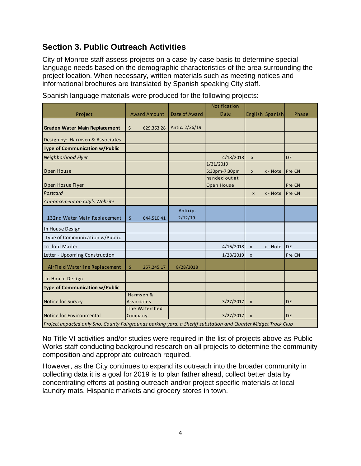# **Section 3. Public Outreach Activities**

City of Monroe staff assess projects on a case-by-case basis to determine special language needs based on the demographic characteristics of the area surrounding the project location. When necessary, written materials such as meeting notices and informational brochures are translated by Spanish speaking City staff.

|                                                                                                                |                          |                     | Notification                |                 |          |        |
|----------------------------------------------------------------------------------------------------------------|--------------------------|---------------------|-----------------------------|-----------------|----------|--------|
| Project                                                                                                        | <b>Award Amount</b>      | Date of Award       | Date                        | English Spanish |          | Phase  |
| <b>Graden Water Main Replacement</b>                                                                           | $\zeta$<br>629,363.28    | Antic. 2/26/19      |                             |                 |          |        |
| Design by: Harmsen & Associates                                                                                |                          |                     |                             |                 |          |        |
| <b>Type of Communication w/Public</b>                                                                          |                          |                     |                             |                 |          |        |
| Neighborhood Flyer                                                                                             |                          |                     | 4/18/2018                   | $\pmb{\times}$  |          | DE     |
| Open House                                                                                                     |                          |                     | 1/31/2019<br>5:30pm-7:30pm  | $\mathsf{x}$    | x - Note | Pre CN |
| Open Hosue Flyer                                                                                               |                          |                     | handed out at<br>Open House |                 |          | Pre CN |
| Postcard                                                                                                       |                          |                     |                             | X               | x - Note | Pre CN |
| Annoncement on City's Website                                                                                  |                          |                     |                             |                 |          |        |
| 132nd Water Main Replacement                                                                                   | \$<br>644,510.41         | Anticip.<br>2/12/19 |                             |                 |          |        |
| In House Design                                                                                                |                          |                     |                             |                 |          |        |
| Type of Communication w/Public                                                                                 |                          |                     |                             |                 |          |        |
| Tri-fold Mailer                                                                                                |                          |                     | 4/16/2018                   | $\mathsf{x}$    | x - Note | DE     |
| Letter - Upcoming Construction                                                                                 |                          |                     | 1/28/2019                   | $\mathsf{x}$    |          | Pre CN |
| AirField Waterline Replacement                                                                                 | \$<br>257,245.17         | 8/28/2018           |                             |                 |          |        |
| In House Design                                                                                                |                          |                     |                             |                 |          |        |
| <b>Type of Communication w/Public</b>                                                                          |                          |                     |                             |                 |          |        |
| Notice for Survey                                                                                              | Harmsen &<br>Associates  |                     | 3/27/2017                   | $\pmb{\times}$  |          | DE     |
| Notice for Environmental                                                                                       | The Watershed<br>Company |                     | 3/27/2017                   | $\mathsf{x}$    |          | DE     |
| Project impacted only Sno. County Fairgrounds parking yard, a Sheriff substation and Quarter Midget Track Club |                          |                     |                             |                 |          |        |

Spanish language materials were produced for the following projects:

No Title VI activities and/or studies were required in the list of projects above as Public Works staff conducting background research on all projects to determine the community composition and appropriate outreach required.

However, as the City continues to expand its outreach into the broader community in collecting data it is a goal for 2019 is to plan father ahead, collect better data by concentrating efforts at posting outreach and/or project specific materials at local laundry mats, Hispanic markets and grocery stores in town.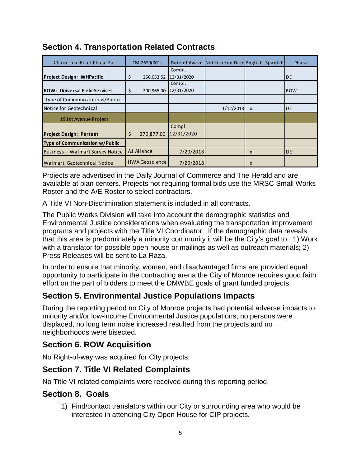| Chain Lake Road Phase 2a                | CM-2629(001)          |            | Date of Award Notification Date English Spanish |              | Phase     |
|-----------------------------------------|-----------------------|------------|-------------------------------------------------|--------------|-----------|
|                                         |                       | Compl.     |                                                 |              |           |
| <b>Project Design: WHPacific</b>        | \$<br>250,053.52      | 12/31/2020 |                                                 |              | <b>DE</b> |
|                                         |                       | Compl.     |                                                 |              |           |
| <b>ROW: Universal Field Services</b>    | \$<br>200,965.00      | 12/31/2020 |                                                 |              | ROW       |
| Type of Communication w/Public          |                       |            |                                                 |              |           |
| Notice for Geotechnical                 |                       |            | 1/12/2018                                       | $\mathsf{x}$ | <b>DE</b> |
| 191st Avenue Project                    |                       |            |                                                 |              |           |
|                                         |                       | Compl.     |                                                 |              |           |
| <b>Project Design: Perteet</b>          | \$<br>270,877.00      | 12/31/2020 |                                                 |              |           |
| Type of Communication w/Public          |                       |            |                                                 |              |           |
| <b>Business - Walmart Survey Notice</b> | A1 Aliance            | 7/20/2018  |                                                 | $\mathsf{x}$ | <b>DE</b> |
| Walmart Geotechnical Notice             | <b>HWA Geoscience</b> | 7/20/2018  |                                                 | X            |           |

# **Section 4. Transportation Related Contracts**

Projects are advertised in the Daily Journal of Commerce and The Herald and are available at plan centers. Projects not requiring formal bids use the MRSC Small Works Roster and the A/E Roster to select contractors.

A Title VI Non-Discrimination statement is included in all contracts.

The Public Works Division will take into account the demographic statistics and Environmental Justice considerations when evaluating the transportation improvement programs and projects with the Title VI Coordinator. If the demographic data reveals that this area is predominately a minority community it will be the City's goal to: 1) Work with a translator for possible open house or mailings as well as outreach materials; 2) Press Releases will be sent to La Raza.

In order to ensure that minority, women, and disadvantaged firms are provided equal opportunity to participate in the contracting arena the City of Monroe requires good faith effort on the part of bidders to meet the DMWBE goals of grant funded projects.

# **Section 5. Environmental Justice Populations Impacts**

During the reporting period no City of Monroe projects had potential adverse impacts to minority and/or low-income Environmental Justice populations; no persons were displaced, no long term noise increased resulted from the projects and no neighborhoods were bisected.

### **Section 6. ROW Acquisition**

No Right-of-way was acquired for City projects:

# **Section 7. Title VI Related Complaints**

No Title VI related complaints were received during this reporting period.

### **Section 8. Goals**

1) Find/contact translators within our City or surrounding area who would be interested in attending City Open House for CIP projects.